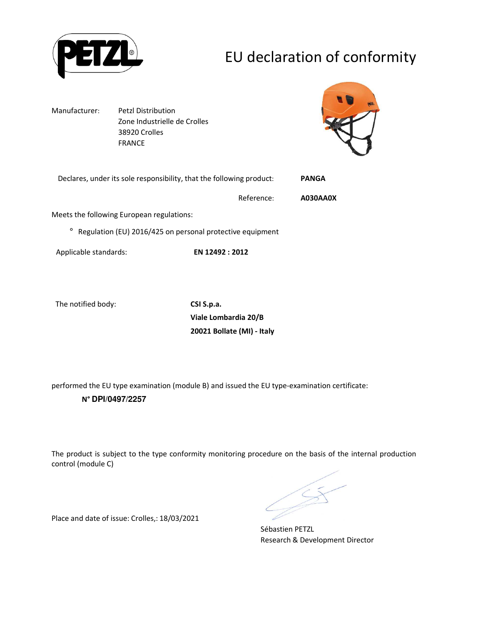

# EU declaration of conformity

Manufacturer: Petzl Distribution Zone Industrielle de Crolles 38920 Crolles FRANCE



|         | Declares, under its sole responsibility, that the following product: |            | <b>PANGA</b> |
|---------|----------------------------------------------------------------------|------------|--------------|
|         |                                                                      | Reference: | A030AA0X     |
|         | Meets the following European regulations:                            |            |              |
| $\circ$ | Regulation (EU) 2016/425 on personal protective equipment            |            |              |

Applicable standards: **EN 12492 : 2012**

The notified body: **CSI S.p.a.**

**Viale Lombardia 20/B 20021 Bollate (MI) - Italy**

performed the EU type examination (module B) and issued the EU type-examination certificate: **N° DPI/0497/2257**

The product is subject to the type conformity monitoring procedure on the basis of the internal production control (module C)

Sébastien PETZL Research & Development Director

Place and date of issue: Crolles,: 18/03/2021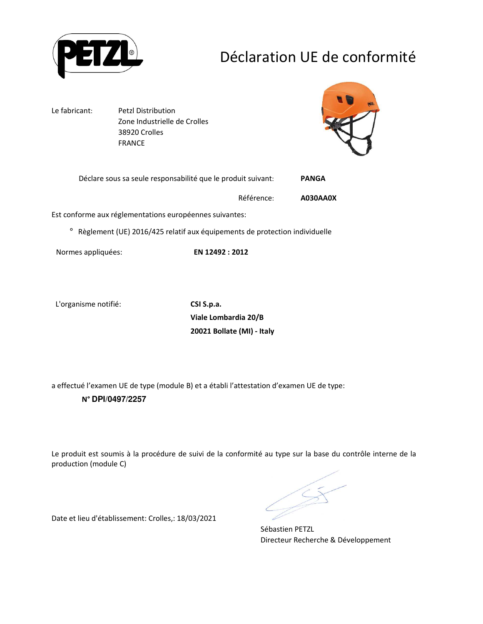

# Déclaration UE de conformité

Le fabricant: Petzl Distribution Zone Industrielle de Crolles 38920 Crolles FRANCE



| Déclare sous sa seule responsabilité que le produit suivant: | PANGA |
|--------------------------------------------------------------|-------|
|                                                              |       |

Référence: **A030AA0X** 

Est conforme aux réglementations européennes suivantes:

° Règlement (UE) 2016/425 relatif aux équipements de protection individuelle

Normes appliquées: **EN 12492 : 2012**

L'organisme notifié: **CSI S.p.a.**

**Viale Lombardia 20/B 20021 Bollate (MI) - Italy**

a effectué l'examen UE de type (module B) et a établi l'attestation d'examen UE de type: **N° DPI/0497/2257**

Le produit est soumis à la procédure de suivi de la conformité au type sur la base du contrôle interne de la production (module C)

Sébastien PETZL Directeur Recherche & Développement

Date et lieu d'établissement: Crolles,: 18/03/2021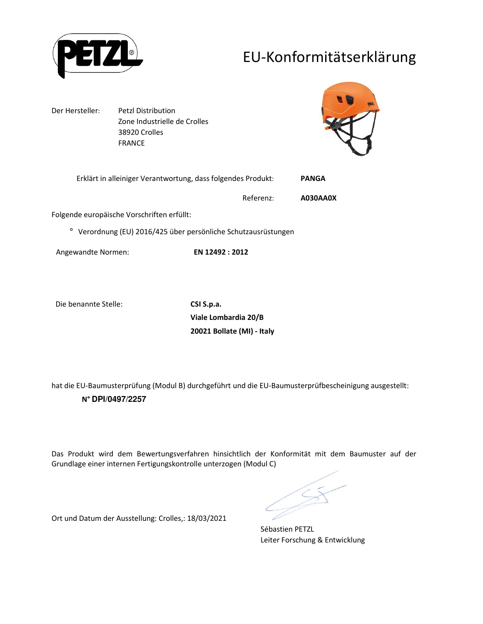

## EU-Konformitätserklärung

Der Hersteller: Petzl Distribution Zone Industrielle de Crolles 38920 Crolles FRANCE



| Erklärt in alleiniger Verantwortung, dass folgendes Produkt: |           | <b>PANGA</b> |
|--------------------------------------------------------------|-----------|--------------|
|                                                              | Referenz: | A030AA0X     |

Folgende europäische Vorschriften erfüllt:

° Verordnung (EU) 2016/425 über persönliche Schutzausrüstungen

Angewandte Normen: **EN 12492 : 2012**

Die benannte Stelle: **CSI S.p.a.**

**Viale Lombardia 20/B 20021 Bollate (MI) - Italy**

hat die EU-Baumusterprüfung (Modul B) durchgeführt und die EU-Baumusterprüfbescheinigung ausgestellt: **N° DPI/0497/2257**

Das Produkt wird dem Bewertungsverfahren hinsichtlich der Konformität mit dem Baumuster auf der Grundlage einer internen Fertigungskontrolle unterzogen (Modul C)

Ort und Datum der Ausstellung: Crolles,: 18/03/2021

Sébastien PETZL Leiter Forschung & Entwicklung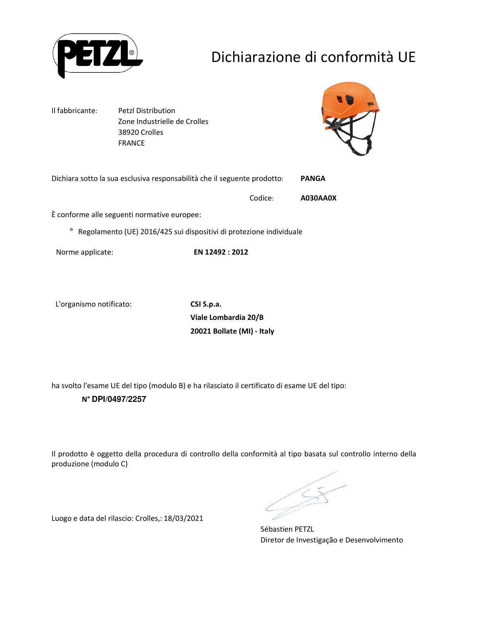

# Dichiarazione di conformità UE

Il fabbricante: Petzl Distribution Zone Industrielle de Crolles 38920 Crolles FRANCE



Dichiara sotto la sua esclusiva responsabilità che il seguente prodotto: **PANGA** 

Codice: **A030AA0X** 

È conforme alle seguenti normative europee:

° Regolamento (UE) 2016/425 sui dispositivi di protezione individuale

Norme applicate: **EN 12492 : 2012**

L'organismo notificato: **CSI S.p.a.**

**Viale Lombardia 20/B 20021 Bollate (MI) - Italy**

ha svolto l'esame UE del tipo (modulo B) e ha rilasciato il certificato di esame UE del tipo: **N° DPI/0497/2257**

Il prodotto è oggetto della procedura di controllo della conformità al tipo basata sul controllo interno della produzione (modulo C)

Sébastien PETZL Diretor de Investigação e Desenvolvimento

Luogo e data del rilascio: Crolles,: 18/03/2021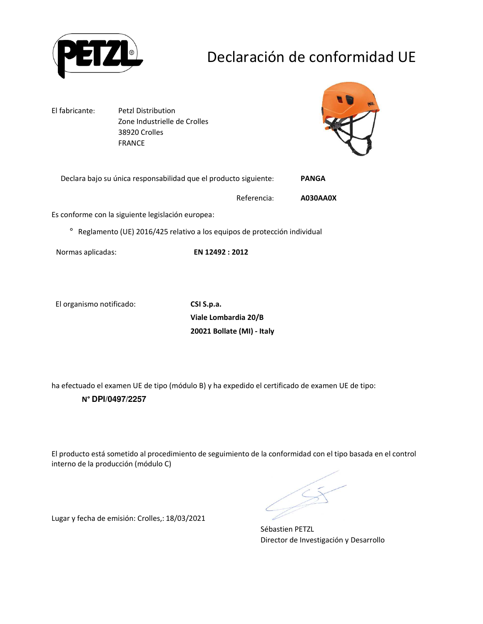

# Declaración de conformidad UE

El fabricante: Petzl Distribution Zone Industrielle de Crolles 38920 Crolles FRANCE



| Declara bajo su única responsabilidad que el producto siguiente: | <b>PANGA</b> |
|------------------------------------------------------------------|--------------|
|------------------------------------------------------------------|--------------|

Referencia: **A030AA0X** 

Es conforme con la siguiente legislación europea:

° Reglamento (UE) 2016/425 relativo a los equipos de protección individual

Normas aplicadas: **EN 12492 : 2012**

El organismo notificado: **CSI S.p.a.**

**Viale Lombardia 20/B 20021 Bollate (MI) - Italy**

ha efectuado el examen UE de tipo (módulo B) y ha expedido el certificado de examen UE de tipo: **N° DPI/0497/2257**

El producto está sometido al procedimiento de seguimiento de la conformidad con el tipo basada en el control interno de la producción (módulo C)

Sébastien PETZL Director de Investigación y Desarrollo

Lugar y fecha de emisión: Crolles,: 18/03/2021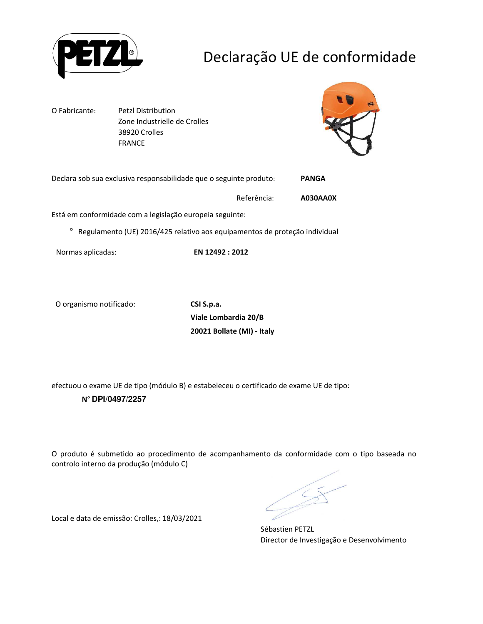

# Declaração UE de conformidade

O Fabricante: Petzl Distribution Zone Industrielle de Crolles 38920 Crolles FRANCE



| Declara sob sua exclusiva responsabilidade que o seguinte produto: | <b>PANGA</b> |
|--------------------------------------------------------------------|--------------|
|                                                                    |              |

Referência: **A030AA0X** 

Está em conformidade com a legislação europeia seguinte:

° Regulamento (UE) 2016/425 relativo aos equipamentos de proteção individual

Normas aplicadas: **EN 12492 : 2012**

O organismo notificado: **CSI S.p.a.**

**Viale Lombardia 20/B 20021 Bollate (MI) - Italy**

efectuou o exame UE de tipo (módulo B) e estabeleceu o certificado de exame UE de tipo: **N° DPI/0497/2257**

O produto é submetido ao procedimento de acompanhamento da conformidade com o tipo baseada no controlo interno da produção (módulo C)

Sébastien PETZL Director de Investigação e Desenvolvimento

Local e data de emissão: Crolles,: 18/03/2021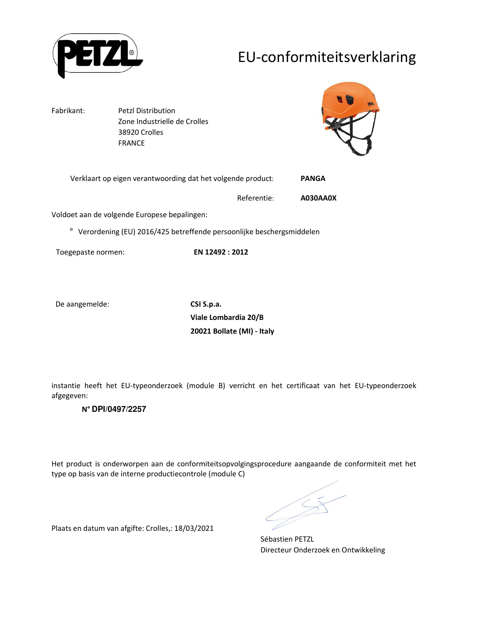

## EU-conformiteitsverklaring

Fabrikant: Petzl Distribution Zone Industrielle de Crolles 38920 Crolles FRANCE



|  | Verklaart op eigen verantwoording dat het volgende product: | <b>PANGA</b> |
|--|-------------------------------------------------------------|--------------|
|--|-------------------------------------------------------------|--------------|

Referentie: **A030AA0X** 

Voldoet aan de volgende Europese bepalingen:

° Verordening (EU) 2016/425 betreffende persoonlijke beschergsmiddelen

Toegepaste normen: **EN 12492 : 2012**

De aangemelde: **CSI S.p.a.** 

**Viale Lombardia 20/B 20021 Bollate (MI) - Italy**

instantie heeft het EU-typeonderzoek (module B) verricht en het certificaat van het EU-typeonderzoek afgegeven:

#### **N° DPI/0497/2257**

Het product is onderworpen aan de conformiteitsopvolgingsprocedure aangaande de conformiteit met het type op basis van de interne productiecontrole (module C)

Plaats en datum van afgifte: Crolles,: 18/03/2021

Sébastien PETZL Directeur Onderzoek en Ontwikkeling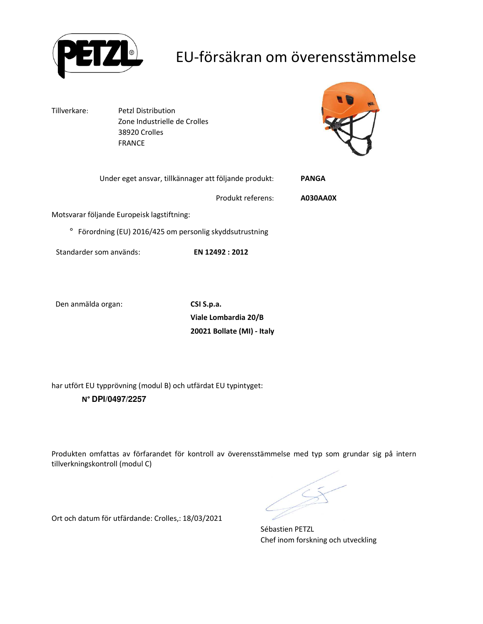

## EU-försäkran om överensstämmelse

Tillverkare: Petzl Distribution Zone Industrielle de Crolles 38920 Crolles FRANCE



|                                                        | Under eget ansvar, tillkännager att följande produkt: | <b>PANGA</b>    |
|--------------------------------------------------------|-------------------------------------------------------|-----------------|
|                                                        | Produkt referens:                                     | <b>A030AA0X</b> |
| Motsvarar följande Europeisk lagstiftning:             |                                                       |                 |
| Förordning (EU) 2016/425 om personlig skyddsutrustning |                                                       |                 |
| Standarder som används:                                | EN 12492 : 2012                                       |                 |

Den anmälda organ: **CSI S.p.a.**

**Viale Lombardia 20/B 20021 Bollate (MI) - Italy**

har utfört EU typprövning (modul B) och utfärdat EU typintyget: **N° DPI/0497/2257**

Produkten omfattas av förfarandet för kontroll av överensstämmelse med typ som grundar sig på intern tillverkningskontroll (modul C)

Sébastien PETZL Chef inom forskning och utveckling

Ort och datum för utfärdande: Crolles,: 18/03/2021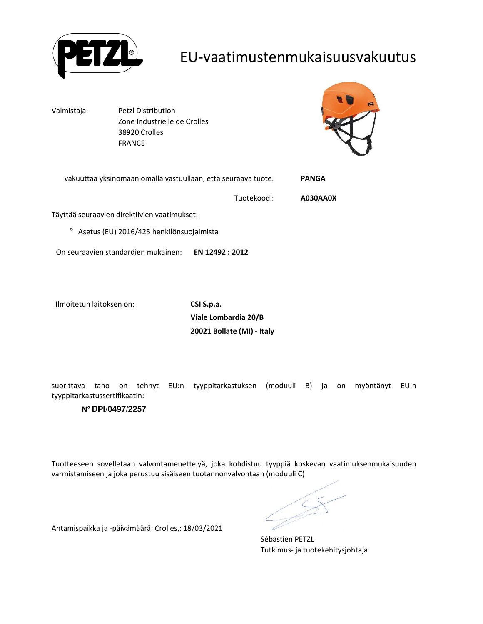

### EU-vaatimustenmukaisuusvakuutus

Valmistaja: Petzl Distribution Zone Industrielle de Crolles 38920 Crolles FRANCE



vakuuttaa yksinomaan omalla vastuullaan, että seuraava tuote: **PANGA**  Tuotekoodi: **A030AA0X**  Täyttää seuraavien direktiivien vaatimukset: ° Asetus (EU) 2016/425 henkilönsuojaimista On seuraavien standardien mukainen: **EN 12492 : 2012**

Ilmoitetun laitoksen on: **CSI S.p.a.**

**Viale Lombardia 20/B 20021 Bollate (MI) - Italy**

suorittava taho on tehnyt EU:n tyyppitarkastuksen (moduuli B) ja on myöntänyt EU:n tyyppitarkastussertifikaatin:

#### **N° DPI/0497/2257**

Tuotteeseen sovelletaan valvontamenettelyä, joka kohdistuu tyyppiä koskevan vaatimuksenmukaisuuden varmistamiseen ja joka perustuu sisäiseen tuotannonvalvontaan (moduuli C)

Antamispaikka ja -päivämäärä: Crolles,: 18/03/2021

Sébastien PETZL Tutkimus- ja tuotekehitysjohtaja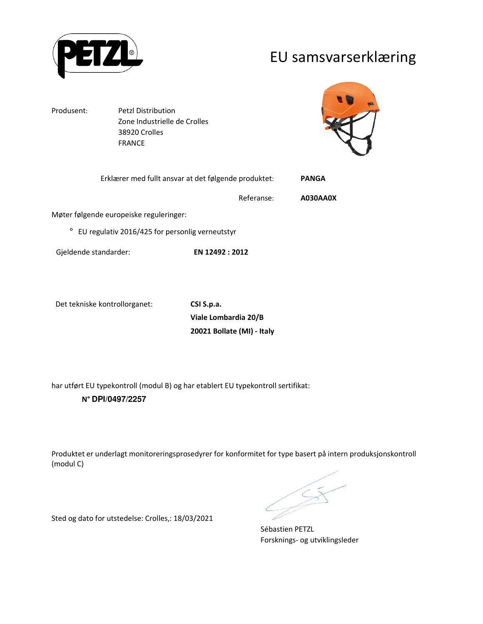

### EU samsvarserklæring

Produsent: Petzl Distribution Zone Industrielle de Crolles 38920 Crolles FRANCE



| Erklærer med fullt ansvar at det følgende produktet:       |            | <b>PANGA</b> |
|------------------------------------------------------------|------------|--------------|
|                                                            | Referanse: | A030AA0X     |
| Møter følgende europeiske reguleringer:                    |            |              |
| EU regulativ 2016/425 for personlig verneutstyr<br>$\circ$ |            |              |

Det tekniske kontrollorganet: **CSI S.p.a.**

**Viale Lombardia 20/B 20021 Bollate (MI) - Italy**

har utført EU typekontroll (modul B) og har etablert EU typekontroll sertifikat: **N° DPI/0497/2257**

Gjeldende standarder: **EN 12492 : 2012**

Produktet er underlagt monitoreringsprosedyrer for konformitet for type basert på intern produksjonskontroll (modul C)

Sébastien PETZL Forsknings- og utviklingsleder

Sted og dato for utstedelse: Crolles,: 18/03/2021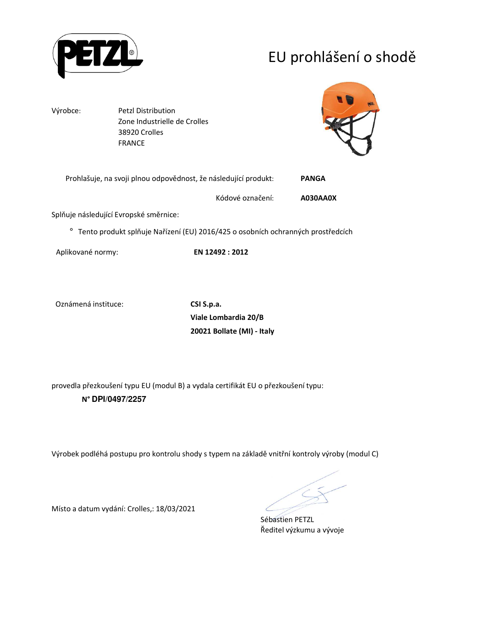

# EU prohlášení o shodě

Výrobce: Petzl Distribution Zone Industrielle de Crolles 38920 Crolles FRANCE



| Prohlašuje, na svoji plnou odpovědnost, že následující produkt: | PANGA |
|-----------------------------------------------------------------|-------|
|                                                                 |       |

Kódové označení: **A030AA0X** 

Splňuje následující Evropské směrnice:

° Tento produkt splňuje Nařízení (EU) 2016/425 o osobních ochranných prostředcích

Aplikované normy: **EN 12492 : 2012**

Oznámená instituce: **CSI S.p.a.**

**Viale Lombardia 20/B 20021 Bollate (MI) - Italy**

provedla přezkoušení typu EU (modul B) a vydala certifikát EU o přezkoušení typu: **N° DPI/0497/2257**

Výrobek podléhá postupu pro kontrolu shody s typem na základě vnitřní kontroly výroby (modul C)

Sébastien PETZL Ředitel výzkumu a vývoje

Místo a datum vydání: Crolles,: 18/03/2021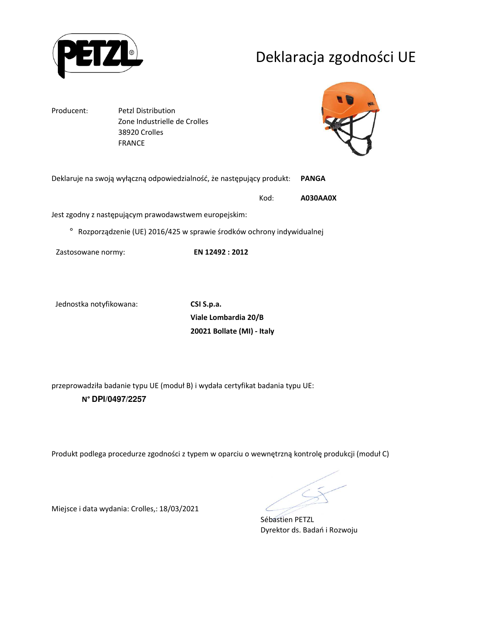

# Deklaracja zgodności UE

Producent: Petzl Distribution

 Zone Industrielle de Crolles 38920 Crolles FRANCE



Deklaruje na swoją wyłączną odpowiedzialność, że następujący produkt: **PANGA** 

Kod: **A030AA0X** 

Jest zgodny z następującym prawodawstwem europejskim:

° Rozporządzenie (UE) 2016/425 w sprawie środków ochrony indywidualnej

Zastosowane normy: **EN 12492 : 2012**

Jednostka notyfikowana: **CSI S.p.a.**

**Viale Lombardia 20/B 20021 Bollate (MI) - Italy**

przeprowadziła badanie typu UE (moduł B) i wydała certyfikat badania typu UE: **N° DPI/0497/2257**

Produkt podlega procedurze zgodności z typem w oparciu o wewnętrzną kontrolę produkcji (moduł C)

Sébastien PETZL Dyrektor ds. Badań i Rozwoju

Miejsce i data wydania: Crolles,: 18/03/2021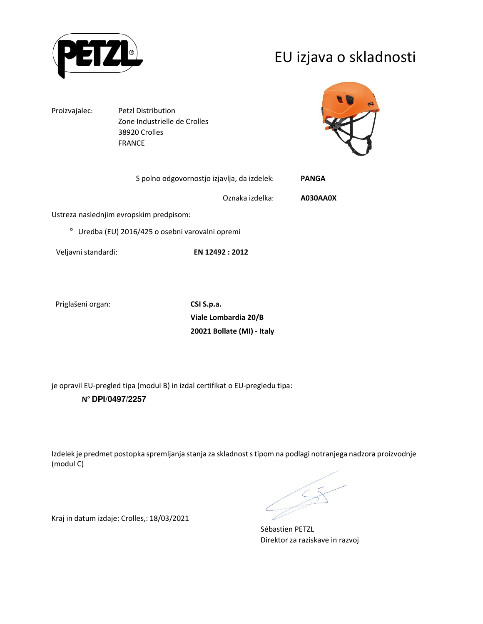

## EU izjava o skladnosti

Proizvajalec: Petzl Distribution Zone Industrielle de Crolles 38920 Crolles FRANCE



| S polno odgovornostjo izjavlja, da izdelek:               | <b>PANGA</b> |
|-----------------------------------------------------------|--------------|
| Oznaka izdelka:                                           | A030AA0X     |
| Ustreza naslednjim evropskim predpisom:                   |              |
| Uredba (EU) 2016/425 o osebni varovalni opremi<br>$\circ$ |              |

Veljavni standardi: **EN 12492 : 2012**

Priglašeni organ: **CSI S.p.a.**

**Viale Lombardia 20/B 20021 Bollate (MI) - Italy**

je opravil EU-pregled tipa (modul B) in izdal certifikat o EU-pregledu tipa: **N° DPI/0497/2257**

Kraj in datum izdaje: Crolles,: 18/03/2021

Izdelek je predmet postopka spremljanja stanja za skladnost s tipom na podlagi notranjega nadzora proizvodnje (modul C)

Sébastien PETZL Direktor za raziskave in razvoj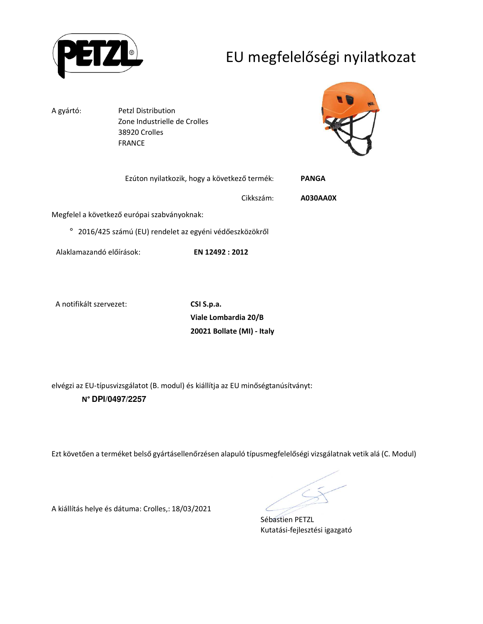

# EU megfelelőségi nyilatkozat

A gyártó: Petzl Distribution Zone Industrielle de Crolles 38920 Crolles FRANCE

Alaklamazandó előírások: **EN 12492 : 2012**

A kiállítás helye és dátuma: Crolles,: 18/03/2021



| Ezúton nyilatkozik, hogy a következő termék:           | <b>PANGA</b> |
|--------------------------------------------------------|--------------|
| Cikkszám:                                              | A030AA0X     |
| Megfelel a következő európai szabványoknak:            |              |
| 2016/425 számú (EU) rendelet az egyéni védőeszközökről |              |

A notifikált szervezet: **CSI S.p.a.**

**Viale Lombardia 20/B 20021 Bollate (MI) - Italy**

elvégzi az EU-típusvizsgálatot (B. modul) és kiállítja az EU minőségtanúsítványt: **N° DPI/0497/2257**

Ezt követően a terméket belső gyártásellenőrzésen alapuló típusmegfelelőségi vizsgálatnak vetik alá (C. Modul)

Sébastien PETZL Kutatási-fejlesztési igazgató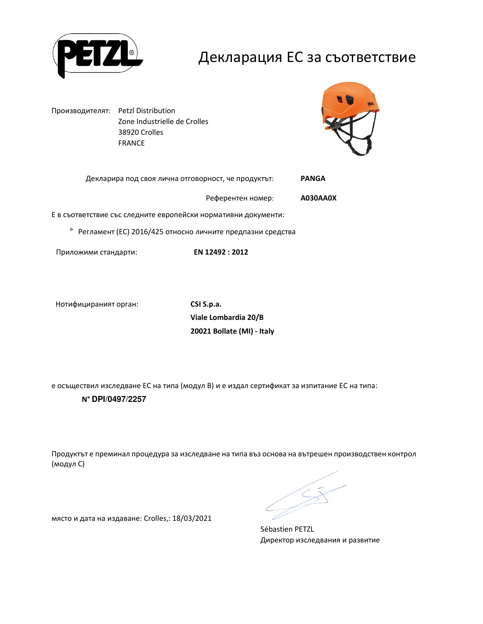

### Декларация ЕС за съответствие

Производителят: Petzl Distribution Zone Industrielle de Crolles 38920 Crolles FRANCE



| Декларира под своя лична отговорност, че продуктът: |                   | PANGA    |
|-----------------------------------------------------|-------------------|----------|
|                                                     | Референтен номер: | A030AA0X |

Е в съответствие със следните европейски нормативни документи:

° Регламент (ЕС) 2016/425 относно личните предпазни средства

Приложими стандарти: **EN 12492 : 2012**

Нотифицираният орган: **CSI S.p.a.**

**Viale Lombardia 20/B 20021 Bollate (MI) - Italy**

е осъществил изследване ЕС на типа (модул В) и е издал сертификат за изпитание ЕС на типа: **N° DPI/0497/2257**

Продуктът е преминал процедура за изследване на типа въз основа на вътрешен производствен контрол (модул С)

Sébastien PETZL Директор изследвания и развитие

място и дата на издаване: Crolles,: 18/03/2021